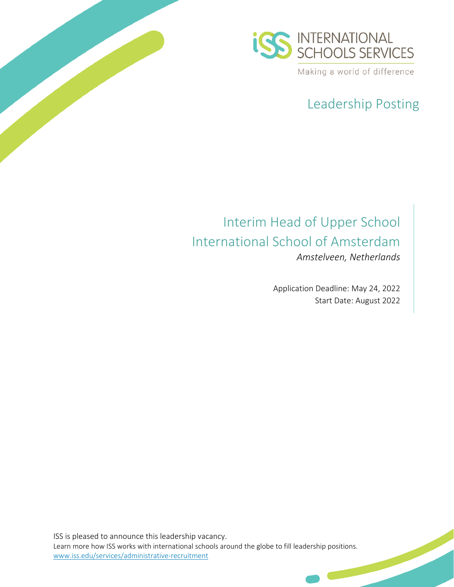

# Leadership Posting

## Interim Head of Upper School International School of Amsterdam *Amstelveen, Netherlands*

Application Deadline: May 24, 2022 Start Date: August 2022

ISS is pleased to announce this leadership vacancy. Learn more how ISS works with international schools around the globe to fill leadership positions. [www.iss.edu/services/administrative-recruitment](http://www.iss.edu/services/administrative-recruitment)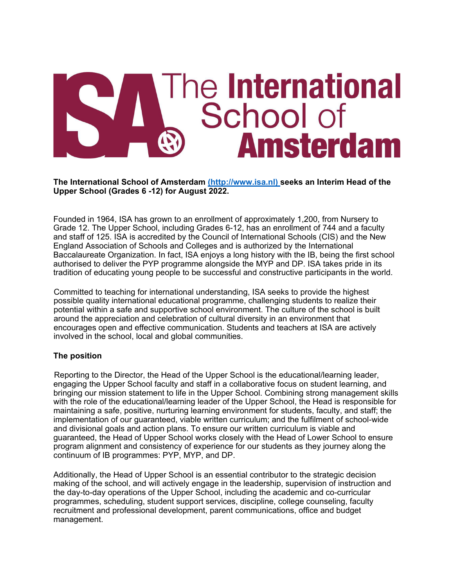# The International School of **Amsterdam**

**The International School of Amsterdam (http://www.isa.nl) seeks an Interim Head of the Upper School (Grades 6 -12) for August 2022.**

Founded in 1964, ISA has grown to an enrollment of approximately 1,200, from Nursery to Grade 12. The Upper School, including Grades 6-12, has an enrollment of 744 and a faculty and staff of 125. ISA is accredited by the Council of International Schools (CIS) and the New England Association of Schools and Colleges and is authorized by the International Baccalaureate Organization. In fact, ISA enjoys a long history with the IB, being the first school authorised to deliver the PYP programme alongside the MYP and DP. ISA takes pride in its tradition of educating young people to be successful and constructive participants in the world.

Committed to teaching for international understanding, ISA seeks to provide the highest possible quality international educational programme, challenging students to realize their potential within a safe and supportive school environment. The culture of the school is built around the appreciation and celebration of cultural diversity in an environment that encourages open and effective communication. Students and teachers at ISA are actively involved in the school, local and global communities.

#### **The position**

Reporting to the Director, the Head of the Upper School is the educational/learning leader, engaging the Upper School faculty and staff in a collaborative focus on student learning, and bringing our mission statement to life in the Upper School. Combining strong management skills with the role of the educational/learning leader of the Upper School, the Head is responsible for maintaining a safe, positive, nurturing learning environment for students, faculty, and staff; the implementation of our guaranteed, viable written curriculum; and the fulfilment of school-wide and divisional goals and action plans. To ensure our written curriculum is viable and guaranteed, the Head of Upper School works closely with the Head of Lower School to ensure program alignment and consistency of experience for our students as they journey along the continuum of IB programmes: PYP, MYP, and DP.

Additionally, the Head of Upper School is an essential contributor to the strategic decision making of the school, and will actively engage in the leadership, supervision of instruction and the day-to-day operations of the Upper School, including the academic and co-curricular programmes, scheduling, student support services, discipline, college counseling, faculty recruitment and professional development, parent communications, office and budget management.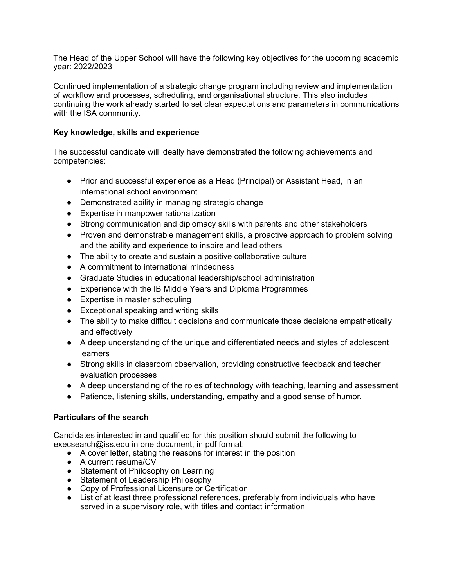The Head of the Upper School will have the following key objectives for the upcoming academic year: 2022/2023

Continued implementation of a strategic change program including review and implementation of workflow and processes, scheduling, and organisational structure. This also includes continuing the work already started to set clear expectations and parameters in communications with the ISA community.

#### **Key knowledge, skills and experience**

The successful candidate will ideally have demonstrated the following achievements and competencies:

- Prior and successful experience as a Head (Principal) or Assistant Head, in an international school environment
- Demonstrated ability in managing strategic change
- Expertise in manpower rationalization
- Strong communication and diplomacy skills with parents and other stakeholders
- Proven and demonstrable management skills, a proactive approach to problem solving and the ability and experience to inspire and lead others
- The ability to create and sustain a positive collaborative culture
- A commitment to international mindedness
- Graduate Studies in educational leadership/school administration
- Experience with the IB Middle Years and Diploma Programmes
- Expertise in master scheduling
- Exceptional speaking and writing skills
- The ability to make difficult decisions and communicate those decisions empathetically and effectively
- A deep understanding of the unique and differentiated needs and styles of adolescent learners
- Strong skills in classroom observation, providing constructive feedback and teacher evaluation processes
- A deep understanding of the roles of technology with teaching, learning and assessment
- Patience, listening skills, understanding, empathy and a good sense of humor.

#### **Particulars of the search**

Candidates interested in and qualified for this position should submit the following to execsearch@iss.edu in one document, in pdf format:

- A cover letter, stating the reasons for interest in the position
- A current resume/CV
- Statement of Philosophy on Learning
- Statement of Leadership Philosophy
- Copy of Professional Licensure or Certification
- List of at least three professional references, preferably from individuals who have served in a supervisory role, with titles and contact information